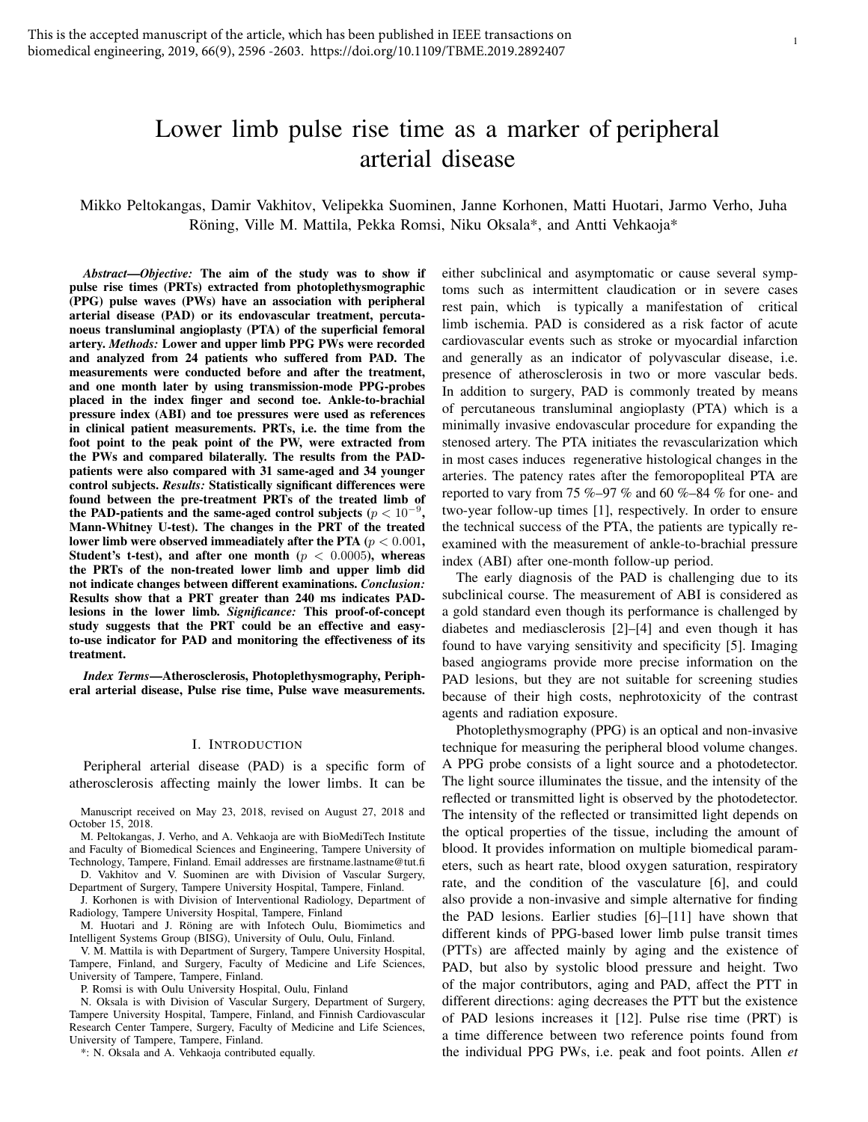# Lower limb pulse rise time as a marker of peripheral arterial disease

Mikko Peltokangas, Damir Vakhitov, Velipekka Suominen, Janne Korhonen, Matti Huotari, Jarmo Verho, Juha Röning, Ville M. Mattila, Pekka Romsi, Niku Oksala\*, and Antti Vehkaoja\*

*Abstract*—*Objective:* The aim of the study was to show if pulse rise times (PRTs) extracted from photoplethysmographic (PPG) pulse waves (PWs) have an association with peripheral arterial disease (PAD) or its endovascular treatment, percutanoeus transluminal angioplasty (PTA) of the superficial femoral artery. *Methods:* Lower and upper limb PPG PWs were recorded and analyzed from 24 patients who suffered from PAD. The measurements were conducted before and after the treatment, and one month later by using transmission-mode PPG-probes placed in the index finger and second toe. Ankle-to-brachial pressure index (ABI) and toe pressures were used as references in clinical patient measurements. PRTs, i.e. the time from the foot point to the peak point of the PW, were extracted from the PWs and compared bilaterally. The results from the PADpatients were also compared with 31 same-aged and 34 younger control subjects. *Results:* Statistically significant differences were found between the pre-treatment PRTs of the treated limb of the PAD-patients and the same-aged control subjects  $(p < 10^{-9})$ , Mann-Whitney U-test). The changes in the PRT of the treated lower limb were observed immeadiately after the PTA ( $p < 0.001$ , Student's t-test), and after one month ( $p < 0.0005$ ), whereas the PRTs of the non-treated lower limb and upper limb did not indicate changes between different examinations. *Conclusion:* Results show that a PRT greater than 240 ms indicates PADlesions in the lower limb. *Significance:* This proof-of-concept study suggests that the PRT could be an effective and easyto-use indicator for PAD and monitoring the effectiveness of its treatment.

*Index Terms*—Atherosclerosis, Photoplethysmography, Peripheral arterial disease, Pulse rise time, Pulse wave measurements.

#### I. INTRODUCTION

Peripheral arterial disease (PAD) is a specific form of atherosclerosis affecting mainly the lower limbs. It can be

Manuscript received on May 23, 2018, revised on August 27, 2018 and October 15, 2018.

M. Peltokangas, J. Verho, and A. Vehkaoja are with BioMediTech Institute and Faculty of Biomedical Sciences and Engineering, Tampere University of Technology, Tampere, Finland. Email addresses are firstname.lastname@tut.fi

D. Vakhitov and V. Suominen are with Division of Vascular Surgery, Department of Surgery, Tampere University Hospital, Tampere, Finland.

J. Korhonen is with Division of Interventional Radiology, Department of Radiology, Tampere University Hospital, Tampere, Finland

M. Huotari and J. Röning are with Infotech Oulu, Biomimetics and Intelligent Systems Group (BISG), University of Oulu, Oulu, Finland.

V. M. Mattila is with Department of Surgery, Tampere University Hospital, Tampere, Finland, and Surgery, Faculty of Medicine and Life Sciences, University of Tampere, Tampere, Finland.

P. Romsi is with Oulu University Hospital, Oulu, Finland

N. Oksala is with Division of Vascular Surgery, Department of Surgery, Tampere University Hospital, Tampere, Finland, and Finnish Cardiovascular Research Center Tampere, Surgery, Faculty of Medicine and Life Sciences, University of Tampere, Tampere, Finland.

\*: N. Oksala and A. Vehkaoja contributed equally.

either subclinical and asymptomatic or cause several symptoms such as intermittent claudication or in severe cases rest pain, which is typically a manifestation of critical limb ischemia. PAD is considered as a risk factor of acute cardiovascular events such as stroke or myocardial infarction and generally as an indicator of polyvascular disease, i.e. presence of atherosclerosis in two or more vascular beds. In addition to surgery, PAD is commonly treated by means of percutaneous transluminal angioplasty (PTA) which is a minimally invasive endovascular procedure for expanding the stenosed artery. The PTA initiates the revascularization which in most cases induces regenerative histological changes in the arteries. The patency rates after the femoropopliteal PTA are reported to vary from 75 %–97 % and 60 %–84 % for one- and two-year follow-up times [1], respectively. In order to ensure the technical success of the PTA, the patients are typically reexamined with the measurement of ankle-to-brachial pressure index (ABI) after one-month follow-up period.

The early diagnosis of the PAD is challenging due to its subclinical course. The measurement of ABI is considered as a gold standard even though its performance is challenged by diabetes and mediasclerosis [2]–[4] and even though it has found to have varying sensitivity and specificity [5]. Imaging based angiograms provide more precise information on the PAD lesions, but they are not suitable for screening studies because of their high costs, nephrotoxicity of the contrast agents and radiation exposure.

Photoplethysmography (PPG) is an optical and non-invasive technique for measuring the peripheral blood volume changes. A PPG probe consists of a light source and a photodetector. The light source illuminates the tissue, and the intensity of the reflected or transmitted light is observed by the photodetector. The intensity of the reflected or transimitted light depends on the optical properties of the tissue, including the amount of blood. It provides information on multiple biomedical parameters, such as heart rate, blood oxygen saturation, respiratory rate, and the condition of the vasculature [6], and could also provide a non-invasive and simple alternative for finding the PAD lesions. Earlier studies [6]–[11] have shown that different kinds of PPG-based lower limb pulse transit times (PTTs) are affected mainly by aging and the existence of PAD, but also by systolic blood pressure and height. Two of the major contributors, aging and PAD, affect the PTT in different directions: aging decreases the PTT but the existence of PAD lesions increases it [12]. Pulse rise time (PRT) is a time difference between two reference points found from the individual PPG PWs, i.e. peak and foot points. Allen *et*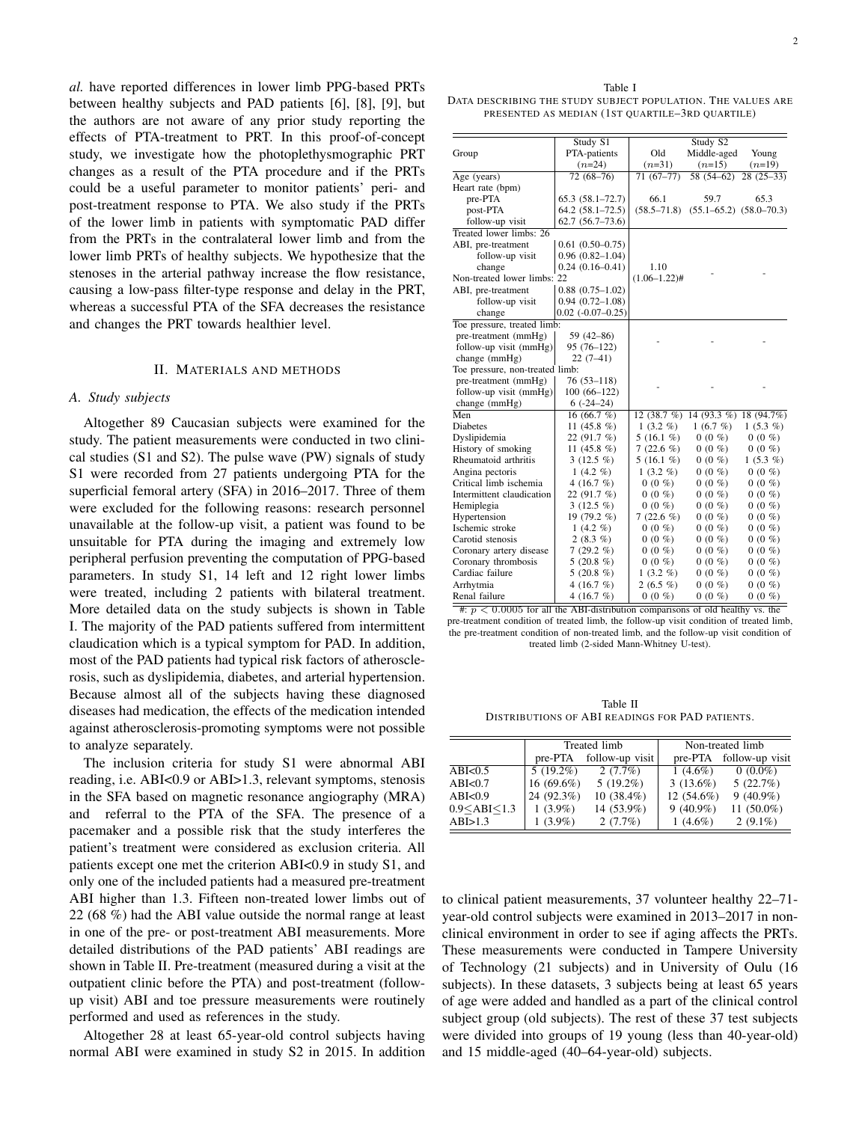*al.* have reported differences in lower limb PPG-based PRTs between healthy subjects and PAD patients [6], [8], [9], but the authors are not aware of any prior study reporting the effects of PTA-treatment to PRT. In this proof-of-concept study, we investigate how the photoplethysmographic PRT changes as a result of the PTA procedure and if the PRTs could be a useful parameter to monitor patients' peri- and post-treatment response to PTA. We also study if the PRTs of the lower limb in patients with symptomatic PAD differ from the PRTs in the contralateral lower limb and from the lower limb PRTs of healthy subjects. We hypothesize that the stenoses in the arterial pathway increase the flow resistance, causing a low-pass filter-type response and delay in the PRT, whereas a successful PTA of the SFA decreases the resistance and changes the PRT towards healthier level.

#### II. MATERIALS AND METHODS

# *A. Study subjects*

Altogether 89 Caucasian subjects were examined for the study. The patient measurements were conducted in two clinical studies (S1 and S2). The pulse wave (PW) signals of study S1 were recorded from 27 patients undergoing PTA for the superficial femoral artery (SFA) in 2016–2017. Three of them were excluded for the following reasons: research personnel unavailable at the follow-up visit, a patient was found to be unsuitable for PTA during the imaging and extremely low peripheral perfusion preventing the computation of PPG-based parameters. In study S1, 14 left and 12 right lower limbs were treated, including 2 patients with bilateral treatment. More detailed data on the study subjects is shown in Table I. The majority of the PAD patients suffered from intermittent claudication which is a typical symptom for PAD. In addition, most of the PAD patients had typical risk factors of atherosclerosis, such as dyslipidemia, diabetes, and arterial hypertension. Because almost all of the subjects having these diagnosed diseases had medication, the effects of the medication intended against atherosclerosis-promoting symptoms were not possible to analyze separately.

The inclusion criteria for study S1 were abnormal ABI reading, i.e. ABI<0.9 or ABI>1.3, relevant symptoms, stenosis in the SFA based on magnetic resonance angiography (MRA) and referral to the PTA of the SFA. The presence of a pacemaker and a possible risk that the study interferes the patient's treatment were considered as exclusion criteria. All patients except one met the criterion ABI<0.9 in study S1, and only one of the included patients had a measured pre-treatment ABI higher than 1.3. Fifteen non-treated lower limbs out of 22 (68 %) had the ABI value outside the normal range at least in one of the pre- or post-treatment ABI measurements. More detailed distributions of the PAD patients' ABI readings are shown in Table II. Pre-treatment (measured during a visit at the outpatient clinic before the PTA) and post-treatment (followup visit) ABI and toe pressure measurements were routinely performed and used as references in the study.

Altogether 28 at least 65-year-old control subjects having normal ABI were examined in study S2 in 2015. In addition

| Table I                                                      |
|--------------------------------------------------------------|
| DATA DESCRIBING THE STUDY SUBJECT POPULATION. THE VALUES ARE |
| PRESENTED AS MEDIAN (1ST OUARTILE–3RD OUARTILE)              |

|                                 | Study S1                |                   | Study S2                        |             |
|---------------------------------|-------------------------|-------------------|---------------------------------|-------------|
| Group                           | PTA-patients            | Old               | Middle-aged                     | Young       |
|                                 | $(n=24)$                | $(n=31)$          | $(n=15)$                        | $(n=19)$    |
| Age (years)                     | $72(68-76)$             | $71(67-77)$       | $58(54-62)$                     | $28(25-33)$ |
| Heart rate (bpm)                |                         |                   |                                 |             |
| pre-PTA                         | $65.3(58.1 - 72.7)$     | 66.1              | 59.7                            | 65.3        |
| post-PTA                        | $64.2(58.1-72.5)$       | $(58.5 - 71.8)$   | $(55.1 - 65.2)$ $(58.0 - 70.3)$ |             |
| follow-up visit                 | $62.7(56.7-73.6)$       |                   |                                 |             |
| Treated lower limbs: 26         |                         |                   |                                 |             |
| ABI, pre-treatment              | $0.61(0.50-0.75)$       |                   |                                 |             |
| follow-up visit                 | $0.96(0.82 - 1.04)$     |                   |                                 |             |
| change                          | $0.24(0.16-0.41)$       | 1.10              |                                 |             |
| Non-treated lower limbs: 22     |                         | $(1.06 - 1.22)$ # |                                 |             |
| ABI, pre-treatment              | $0.88(0.75 - 1.02)$     |                   |                                 |             |
| follow-up visit                 | $0.94(0.72 - 1.08)$     |                   |                                 |             |
| change                          | $0.02$ ( $-0.07-0.25$ ) |                   |                                 |             |
| Toe pressure, treated limb:     |                         |                   |                                 |             |
| pre-treatment (mmHg)            | 59 (42-86)              |                   |                                 |             |
| follow-up visit (mmHg)          | $95(76-122)$            |                   |                                 |             |
| change (mmHg)                   | $22(7-41)$              |                   |                                 |             |
| Toe pressure, non-treated limb: |                         |                   |                                 |             |
| pre-treatment (mmHg)            | $76(53 - 118)$          |                   |                                 |             |
| follow-up visit (mmHg)          | $100(66-122)$           |                   |                                 |             |
| change (mmHg)                   | $6(-24-24)$             |                   |                                 |             |
| Men                             | 16 (66.7 %)             | 12 $(38.7 \%)$    | 14 (93.3 $%$ )                  | 18 (94.7%)  |
| Diabetes                        | 11 $(45.8\%)$           | $1(3.2\%)$        | 1(6.7%)                         | $1(5.3\%)$  |
| Dyslipidemia                    | 22(91.7%)               | $5(16.1\%)$       | $0(0\%)$                        | $0(0\% )$   |
| History of smoking              | 11 $(45.8\%)$           | $7(22.6\%)$       | $0(0\% )$                       | $0(0\% )$   |
| Rheumatoid arthritis            | $3(12.5\%)$             | $5(16.1\%)$       | $0(0\% )$                       | $1(5.3\%)$  |
| Angina pectoris                 | $1(4.2\%)$              | $1(3.2\%)$        | $0(0\%)$                        | $0(0\% )$   |
| Critical limb ischemia          | 4 (16.7 $%$ )           | $0(0\%)$          | $0(0\%)$                        | $0(0\%)$    |
| Intermittent claudication       | 22 $(91.7\% )$          | $0(0\%$           | $0(0\% )$                       | $0(0\%)$    |
| Hemiplegia                      | $3(12.5\%)$             | $0(0\%)$          | $0(0\%)$                        | $0(0\%)$    |
| Hypertension                    | 19 (79.2 %)             | 7 $(22.6\%)$      | $0(0\%)$                        | $0(0\%)$    |
| Ischemic stroke                 | $1(4.2\%)$              | $0(0\%)$          | $0(0\%$                         | $0(0\%)$    |
| Carotid stenosis                | $2(8.3\%)$              | $0(0\% )$         | $0(0\%)$                        | $0(0\%)$    |
| Coronary artery disease         | $7(29.2\%)$             | $0(0\%)$          | $0(0\% )$                       | $0(0\% )$   |
| Coronary thrombosis             | 5 $(20.8\%)$            | $0(0\%)$          | $0(0\%)$                        | $0(0\%)$    |
| Cardiac failure                 | 5 $(20.8\%)$            | $1(3.2\%)$        | $0(0\%$                         | $0(0\%)$    |
| Arrhytmia                       | 4 (16.7 $%$ )           | 2 (6.5 %)         | $0(0\%)$                        | $0(0\%)$    |
| Renal failure                   | 4 (16.7 $%$ )           | $0(0\%)$          | $0(0\%)$                        | $0(0\%)$    |

#:  $p < 0.0005$  for all the ABI-distribution comparisons of old healthy vs. the pre-treatment condition of treated limb, the follow-up visit condition of treated limb, the pre-treatment condition of non-treated limb, and the follow-up visit condition of treated limb (2-sided Mann-Whitney U-test).

Table II DISTRIBUTIONS OF ABI READINGS FOR PAD PATIENTS.

|                    | Treated limb |                 | Non-treated limb |                 |
|--------------------|--------------|-----------------|------------------|-----------------|
|                    | pre-PTA      | follow-up visit | pre-PTA          | follow-up visit |
| ABI<0.5            | $5(19.2\%)$  | 2(7.7%)         | $1(4.6\%)$       | $0(0.0\%)$      |
| ABI <sub>0.7</sub> | $16(69.6\%)$ | $5(19.2\%)$     | $3(13.6\%)$      | 5(22.7%)        |
| ABI<0.9            | 24 (92.3%)   | $10(38.4\%)$    | 12 (54.6%)       | $9(40.9\%)$     |
| 0.9 < ABI < 1.3    | $1(3.9\%)$   | 14 (53.9%)      | $9(40.9\%)$      | 11 $(50.0\%)$   |
| ABI>1.3            | $1(3.9\%)$   | 2(7.7%)         | $1(4.6\%)$       | $2(9.1\%)$      |

to clinical patient measurements, 37 volunteer healthy 22–71 year-old control subjects were examined in 2013–2017 in nonclinical environment in order to see if aging affects the PRTs. These measurements were conducted in Tampere University of Technology (21 subjects) and in University of Oulu (16 subjects). In these datasets, 3 subjects being at least 65 years of age were added and handled as a part of the clinical control subject group (old subjects). The rest of these 37 test subjects were divided into groups of 19 young (less than 40-year-old) and 15 middle-aged (40–64-year-old) subjects.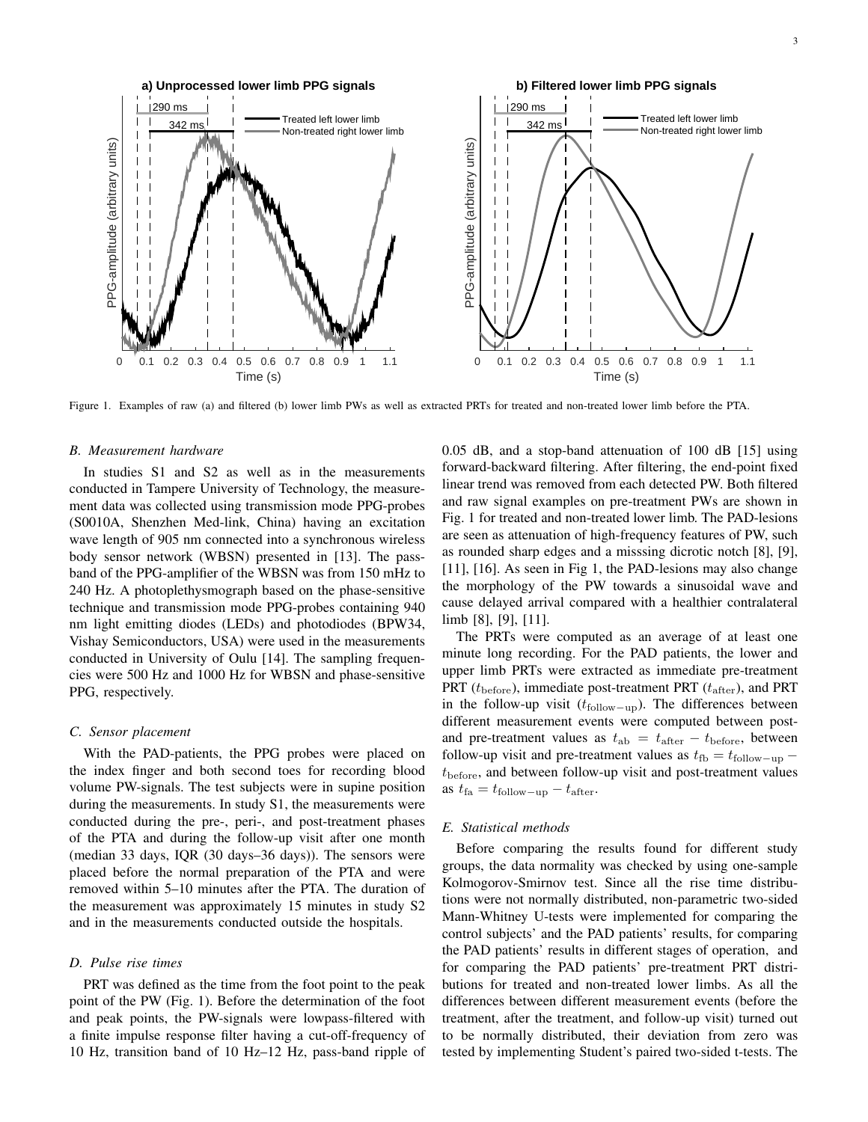

Figure 1. Examples of raw (a) and filtered (b) lower limb PWs as well as extracted PRTs for treated and non-treated lower limb before the PTA.

#### *B. Measurement hardware*

In studies S1 and S2 as well as in the measurements conducted in Tampere University of Technology, the measurement data was collected using transmission mode PPG-probes (S0010A, Shenzhen Med-link, China) having an excitation wave length of 905 nm connected into a synchronous wireless body sensor network (WBSN) presented in [13]. The passband of the PPG-amplifier of the WBSN was from 150 mHz to 240 Hz. A photoplethysmograph based on the phase-sensitive technique and transmission mode PPG-probes containing 940 nm light emitting diodes (LEDs) and photodiodes (BPW34, Vishay Semiconductors, USA) were used in the measurements conducted in University of Oulu [14]. The sampling frequencies were 500 Hz and 1000 Hz for WBSN and phase-sensitive PPG, respectively.

#### *C. Sensor placement*

With the PAD-patients, the PPG probes were placed on the index finger and both second toes for recording blood volume PW-signals. The test subjects were in supine position during the measurements. In study S1, the measurements were conducted during the pre-, peri-, and post-treatment phases of the PTA and during the follow-up visit after one month (median 33 days, IQR (30 days–36 days)). The sensors were placed before the normal preparation of the PTA and were removed within 5–10 minutes after the PTA. The duration of the measurement was approximately 15 minutes in study S2 and in the measurements conducted outside the hospitals.

## *D. Pulse rise times*

PRT was defined as the time from the foot point to the peak point of the PW (Fig. 1). Before the determination of the foot and peak points, the PW-signals were lowpass-filtered with a finite impulse response filter having a cut-off-frequency of 10 Hz, transition band of 10 Hz–12 Hz, pass-band ripple of 0.05 dB, and a stop-band attenuation of 100 dB [15] using forward-backward filtering. After filtering, the end-point fixed linear trend was removed from each detected PW. Both filtered and raw signal examples on pre-treatment PWs are shown in Fig. 1 for treated and non-treated lower limb. The PAD-lesions are seen as attenuation of high-frequency features of PW, such as rounded sharp edges and a misssing dicrotic notch [8], [9], [11], [16]. As seen in Fig 1, the PAD-lesions may also change the morphology of the PW towards a sinusoidal wave and cause delayed arrival compared with a healthier contralateral limb [8], [9], [11].

The PRTs were computed as an average of at least one minute long recording. For the PAD patients, the lower and upper limb PRTs were extracted as immediate pre-treatment PRT ( $t_{\text{before}}$ ), immediate post-treatment PRT ( $t_{\text{after}}$ ), and PRT in the follow-up visit ( $t_{\text{follow-up}}$ ). The differences between different measurement events were computed between postand pre-treatment values as  $t_{ab} = t_{after} - t_{before}$ , between follow-up visit and pre-treatment values as  $t_{\text{fb}} = t_{\text{follow-up}}$  $t_{before}$ , and between follow-up visit and post-treatment values as  $t_{\text{fa}} = t_{\text{follow-up}} - t_{\text{after}}$ .

# *E. Statistical methods*

Before comparing the results found for different study groups, the data normality was checked by using one-sample Kolmogorov-Smirnov test. Since all the rise time distributions were not normally distributed, non-parametric two-sided Mann-Whitney U-tests were implemented for comparing the control subjects' and the PAD patients' results, for comparing the PAD patients' results in different stages of operation, and for comparing the PAD patients' pre-treatment PRT distributions for treated and non-treated lower limbs. As all the differences between different measurement events (before the treatment, after the treatment, and follow-up visit) turned out to be normally distributed, their deviation from zero was tested by implementing Student's paired two-sided t-tests. The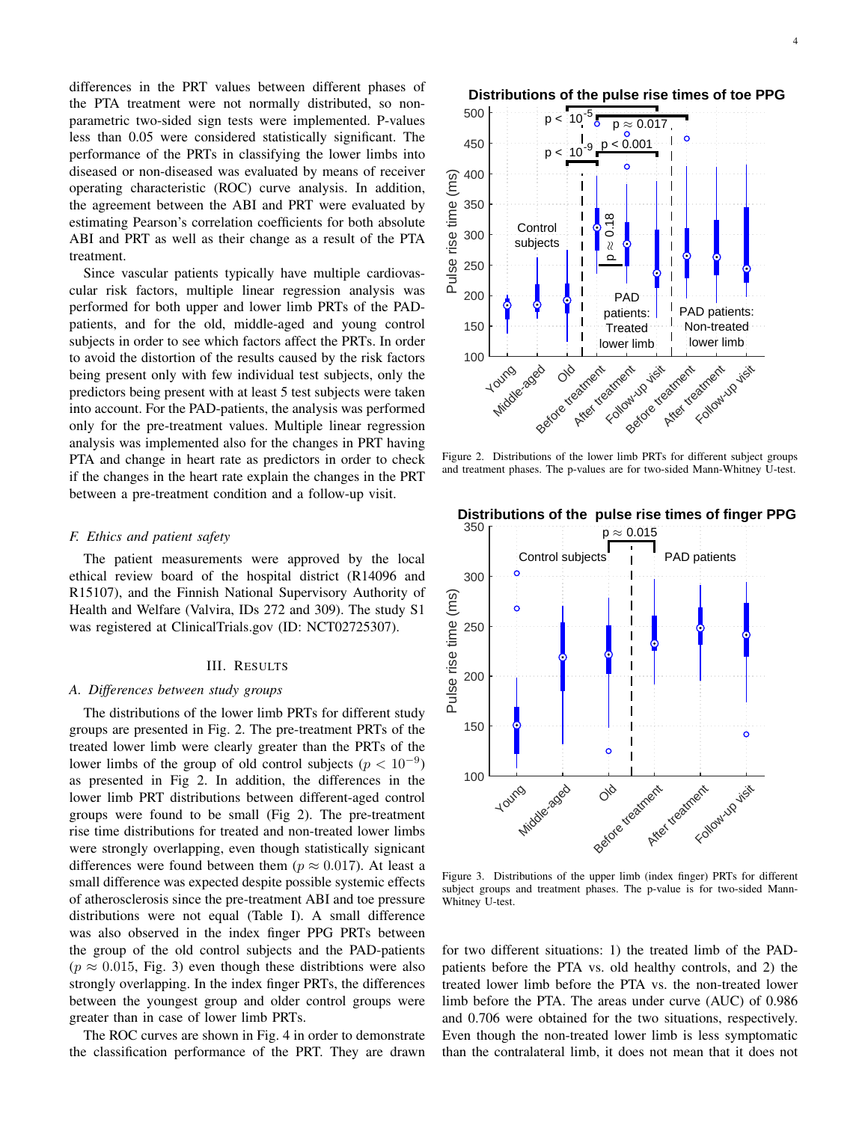differences in the PRT values between different phases of the PTA treatment were not normally distributed, so nonparametric two-sided sign tests were implemented. P-values less than 0.05 were considered statistically significant. The performance of the PRTs in classifying the lower limbs into diseased or non-diseased was evaluated by means of receiver operating characteristic (ROC) curve analysis. In addition, the agreement between the ABI and PRT were evaluated by estimating Pearson's correlation coefficients for both absolute ABI and PRT as well as their change as a result of the PTA treatment.

Since vascular patients typically have multiple cardiovascular risk factors, multiple linear regression analysis was performed for both upper and lower limb PRTs of the PADpatients, and for the old, middle-aged and young control subjects in order to see which factors affect the PRTs. In order to avoid the distortion of the results caused by the risk factors being present only with few individual test subjects, only the predictors being present with at least 5 test subjects were taken into account. For the PAD-patients, the analysis was performed only for the pre-treatment values. Multiple linear regression analysis was implemented also for the changes in PRT having PTA and change in heart rate as predictors in order to check if the changes in the heart rate explain the changes in the PRT between a pre-treatment condition and a follow-up visit.

## *F. Ethics and patient safety*

The patient measurements were approved by the local ethical review board of the hospital district (R14096 and R15107), and the Finnish National Supervisory Authority of Health and Welfare (Valvira, IDs 272 and 309). The study S1 was registered at ClinicalTrials.gov (ID: NCT02725307).

#### III. RESULTS

### *A. Differences between study groups*

The distributions of the lower limb PRTs for different study groups are presented in Fig. 2. The pre-treatment PRTs of the treated lower limb were clearly greater than the PRTs of the lower limbs of the group of old control subjects ( $p < 10^{-9}$ ) as presented in Fig 2. In addition, the differences in the lower limb PRT distributions between different-aged control groups were found to be small (Fig 2). The pre-treatment rise time distributions for treated and non-treated lower limbs were strongly overlapping, even though statistically signicant differences were found between them ( $p \approx 0.017$ ). At least a small difference was expected despite possible systemic effects of atherosclerosis since the pre-treatment ABI and toe pressure distributions were not equal (Table I). A small difference was also observed in the index finger PPG PRTs between the group of the old control subjects and the PAD-patients  $(p \approx 0.015,$  Fig. 3) even though these distribtions were also strongly overlapping. In the index finger PRTs, the differences between the youngest group and older control groups were greater than in case of lower limb PRTs. being present only with [ew individual ast subjects, only the predictors being present with a least 5 test subjects were taken<br>into account. For the PAD-patients, the analysis was performed<br>analysis was implemented also f

The ROC curves are shown in Fig. 4 in order to demonstrate



Figure 2. Distributions of the lower limb PRTs for different subject groups and treatment phases. The p-values are for two-sided Mann-Whitney U-test.



Figure 3. Distributions of the upper limb (index finger) PRTs for different subject groups and treatment phases. The p-value is for two-sided Mann-Whitney U-test.

for two different situations: 1) the treated limb of the PADpatients before the PTA vs. old healthy controls, and 2) the treated lower limb before the PTA vs. the non-treated lower limb before the PTA. The areas under curve (AUC) of 0.986 and 0.706 were obtained for the two situations, respectively. Even though the non-treated lower limb is less symptomatic than the contralateral limb, it does not mean that it does not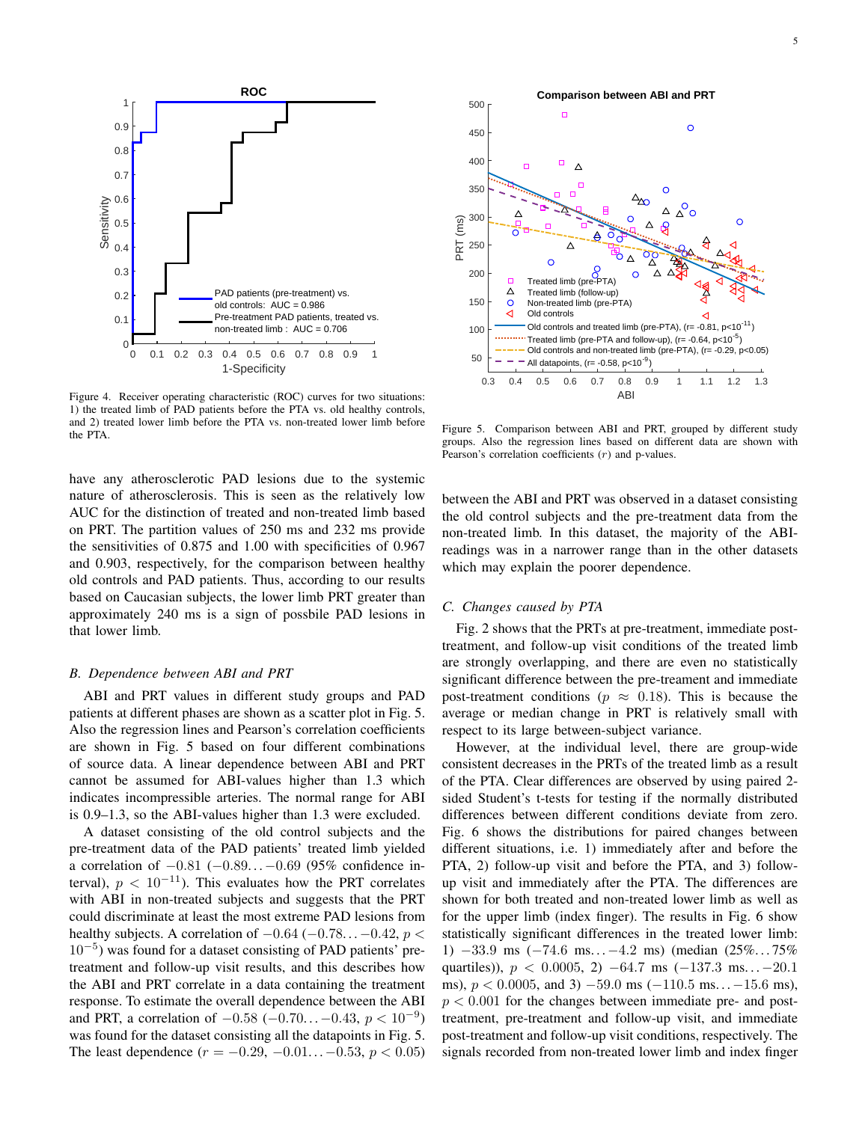

Figure 4. Receiver operating characteristic (ROC) curves for two situations: 1) the treated limb of PAD patients before the PTA vs. old healthy controls, and 2) treated lower limb before the PTA vs. non-treated lower limb before the PTA.

have any atherosclerotic PAD lesions due to the systemic nature of atherosclerosis. This is seen as the relatively low AUC for the distinction of treated and non-treated limb based on PRT. The partition values of 250 ms and 232 ms provide the sensitivities of 0.875 and 1.00 with specificities of 0.967 and 0.903, respectively, for the comparison between healthy old controls and PAD patients. Thus, according to our results based on Caucasian subjects, the lower limb PRT greater than approximately 240 ms is a sign of possbile PAD lesions in that lower limb.

## *B. Dependence between ABI and PRT*

ABI and PRT values in different study groups and PAD patients at different phases are shown as a scatter plot in Fig. 5. Also the regression lines and Pearson's correlation coefficients are shown in Fig. 5 based on four different combinations of source data. A linear dependence between ABI and PRT cannot be assumed for ABI-values higher than 1.3 which indicates incompressible arteries. The normal range for ABI is 0.9–1.3, so the ABI-values higher than 1.3 were excluded.

A dataset consisting of the old control subjects and the pre-treatment data of the PAD patients' treated limb yielded a correlation of −0.81 (−0.89. . .−0.69 (95% confidence interval),  $p < 10^{-11}$ ). This evaluates how the PRT correlates with ABI in non-treated subjects and suggests that the PRT could discriminate at least the most extreme PAD lesions from healthy subjects. A correlation of  $-0.64$  ( $-0.78...$   $-0.42$ ,  $p$  < 10<sup>−</sup><sup>5</sup> ) was found for a dataset consisting of PAD patients' pretreatment and follow-up visit results, and this describes how the ABI and PRT correlate in a data containing the treatment response. To estimate the overall dependence between the ABI and PRT, a correlation of  $-0.58$  ( $-0.70...$  $-0.43$ ,  $p < 10^{-9}$ ) was found for the dataset consisting all the datapoints in Fig. 5. The least dependence  $(r = -0.29, -0.01... -0.53, p < 0.05)$ 



Figure 5. Comparison between ABI and PRT, grouped by different study groups. Also the regression lines based on different data are shown with Pearson's correlation coefficients  $(r)$  and p-values.

between the ABI and PRT was observed in a dataset consisting the old control subjects and the pre-treatment data from the non-treated limb. In this dataset, the majority of the ABIreadings was in a narrower range than in the other datasets which may explain the poorer dependence.

# *C. Changes caused by PTA*

Fig. 2 shows that the PRTs at pre-treatment, immediate posttreatment, and follow-up visit conditions of the treated limb are strongly overlapping, and there are even no statistically significant difference between the pre-treament and immediate post-treatment conditions ( $p \approx 0.18$ ). This is because the average or median change in PRT is relatively small with respect to its large between-subject variance.

However, at the individual level, there are group-wide consistent decreases in the PRTs of the treated limb as a result of the PTA. Clear differences are observed by using paired 2 sided Student's t-tests for testing if the normally distributed differences between different conditions deviate from zero. Fig. 6 shows the distributions for paired changes between different situations, i.e. 1) immediately after and before the PTA, 2) follow-up visit and before the PTA, and 3) followup visit and immediately after the PTA. The differences are shown for both treated and non-treated lower limb as well as for the upper limb (index finger). The results in Fig. 6 show statistically significant differences in the treated lower limb: 1) −33.9 ms (−74.6 ms. . .−4.2 ms) (median (25%. . . 75% quartiles)),  $p < 0.0005$ , 2)  $-64.7$  ms  $(-137.3$  ms...  $-20.1$ ms),  $p < 0.0005$ , and 3)  $-59.0$  ms  $(-110.5$  ms...  $-15.6$  ms),  $p < 0.001$  for the changes between immediate pre- and posttreatment, pre-treatment and follow-up visit, and immediate post-treatment and follow-up visit conditions, respectively. The signals recorded from non-treated lower limb and index finger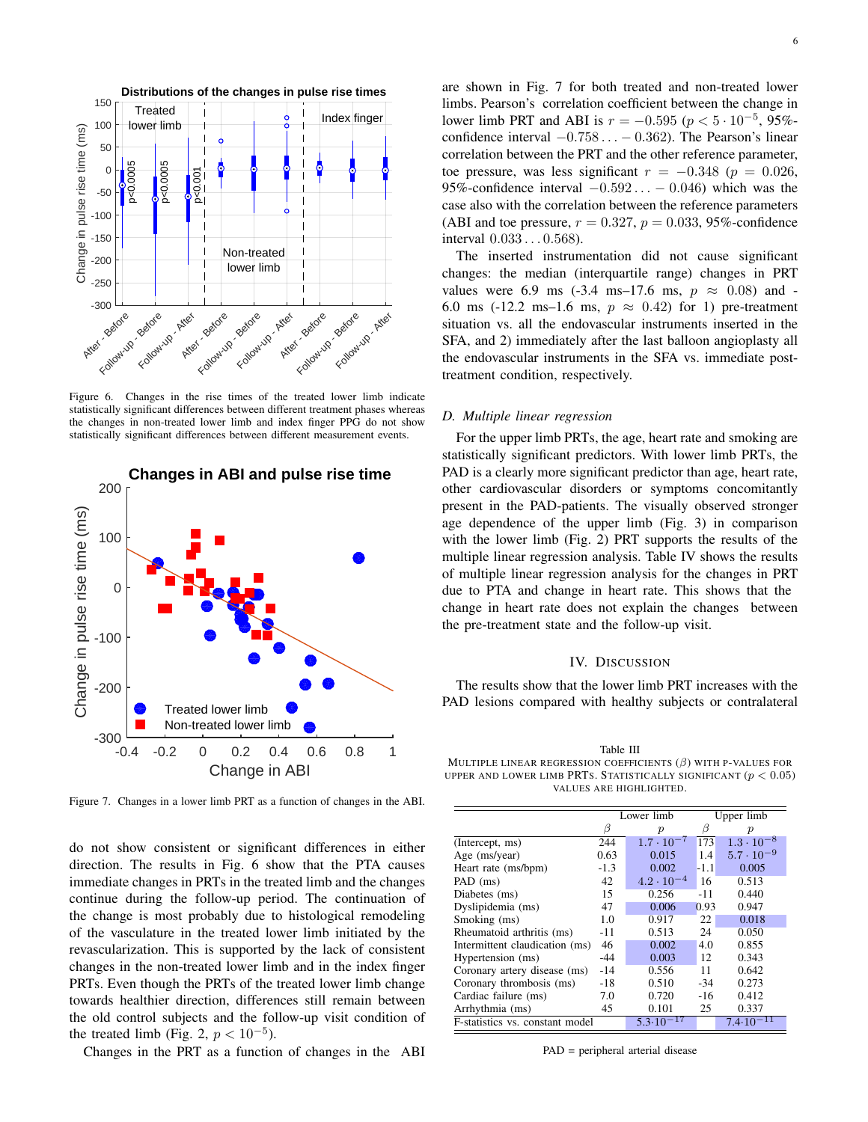

Figure 6. Changes in the rise times of the treated lower limb indicate statistically significant differences between different treatment phases whereas the changes in non-treated lower limb and index finger PPG do not show statistically significant differences between different measurement events.



Figure 7. Changes in a lower limb PRT as a function of changes in the ABI.

do not show consistent or significant differences in either direction. The results in Fig. 6 show that the PTA causes immediate changes in PRTs in the treated limb and the changes continue during the follow-up period. The continuation of the change is most probably due to histological remodeling of the vasculature in the treated lower limb initiated by the revascularization. This is supported by the lack of consistent changes in the non-treated lower limb and in the index finger PRTs. Even though the PRTs of the treated lower limb change towards healthier direction, differences still remain between the old control subjects and the follow-up visit condition of the treated limb (Fig. 2,  $p < 10^{-5}$ ).

Changes in the PRT as a function of changes in the ABI

are shown in Fig. 7 for both treated and non-treated lower limbs. Pearson's correlation coefficient between the change in lower limb PRT and ABI is  $r = -0.595$  ( $p < 5 \cdot 10^{-5}$ , 95%confidence interval  $-0.758... - 0.362$ ). The Pearson's linear correlation between the PRT and the other reference parameter, toe pressure, was less significant  $r = -0.348$  ( $p = 0.026$ , 95%-confidence interval  $-0.592... - 0.046$ ) which was the case also with the correlation between the reference parameters (ABI and toe pressure,  $r = 0.327$ ,  $p = 0.033$ , 95%-confidence interval 0.033 . . . 0.568).

The inserted instrumentation did not cause significant changes: the median (interquartile range) changes in PRT values were 6.9 ms (-3.4 ms–17.6 ms,  $p \approx 0.08$ ) and -6.0 ms (-12.2 ms–1.6 ms,  $p \approx 0.42$ ) for 1) pre-treatment situation vs. all the endovascular instruments inserted in the SFA, and 2) immediately after the last balloon angioplasty all the endovascular instruments in the SFA vs. immediate posttreatment condition, respectively.

#### *D. Multiple linear regression*

For the upper limb PRTs, the age, heart rate and smoking are statistically significant predictors. With lower limb PRTs, the PAD is a clearly more significant predictor than age, heart rate, other cardiovascular disorders or symptoms concomitantly present in the PAD-patients. The visually observed stronger age dependence of the upper limb (Fig. 3) in comparison with the lower limb (Fig. 2) PRT supports the results of the multiple linear regression analysis. Table IV shows the results of multiple linear regression analysis for the changes in PRT due to PTA and change in heart rate. This shows that the change in heart rate does not explain the changes between the pre-treatment state and the follow-up visit.

## IV. DISCUSSION

The results show that the lower limb PRT increases with the PAD lesions compared with healthy subjects or contralateral

Table III MULTIPLE LINEAR REGRESSION COEFFICIENTS  $(\beta)$  with P-VALUES FOR UPPER AND LOWER LIMB PRTS. STATISTICALLY SIGNIFICANT  $(p < 0.05)$ VALUES ARE HIGHLIGHTED.

|                                 | Lower limb |                     |        | Upper limb          |
|---------------------------------|------------|---------------------|--------|---------------------|
|                                 | β          | $\boldsymbol{p}$    | ß      | $\boldsymbol{p}$    |
| (Intercept, ms)                 | 244        | $1.7 \cdot 10^{-7}$ | 173    | $1.3 \cdot 10^{-8}$ |
| Age (ms/year)                   | 0.63       | 0.015               | 1.4    | $5.7 \cdot 10^{-9}$ |
| Heart rate (ms/bpm)             | $-1.3$     | 0.002               | $-1.1$ | 0.005               |
| PAD (ms)                        | 42         | $4.2 \cdot 10^{-4}$ | 16     | 0.513               |
| Diabetes (ms)                   | 15         | 0.256               | -11    | 0.440               |
| Dyslipidemia (ms)               | 47         | 0.006               | 0.93   | 0.947               |
| Smoking (ms)                    | 1.0        | 0.917               | 22     | 0.018               |
| Rheumatoid arthritis (ms)       | -11        | 0.513               | 24     | 0.050               |
| Intermittent claudication (ms)  | 46         | 0.002               | 4.0    | 0.855               |
| Hypertension (ms)               | -44        | 0.003               | 12     | 0.343               |
| Coronary artery disease (ms)    | $-14$      | 0.556               | 11     | 0.642               |
| Coronary thrombosis (ms)        | $-18$      | 0.510               | $-34$  | 0.273               |
| Cardiac failure (ms)            | 7.0        | 0.720               | $-16$  | 0.412               |
| Arrhythmia (ms)                 | 45         | 0.101               | 25     | 0.337               |
| F-statistics vs. constant model |            | 5.3.10              |        | 7.4.10              |

PAD = peripheral arterial disease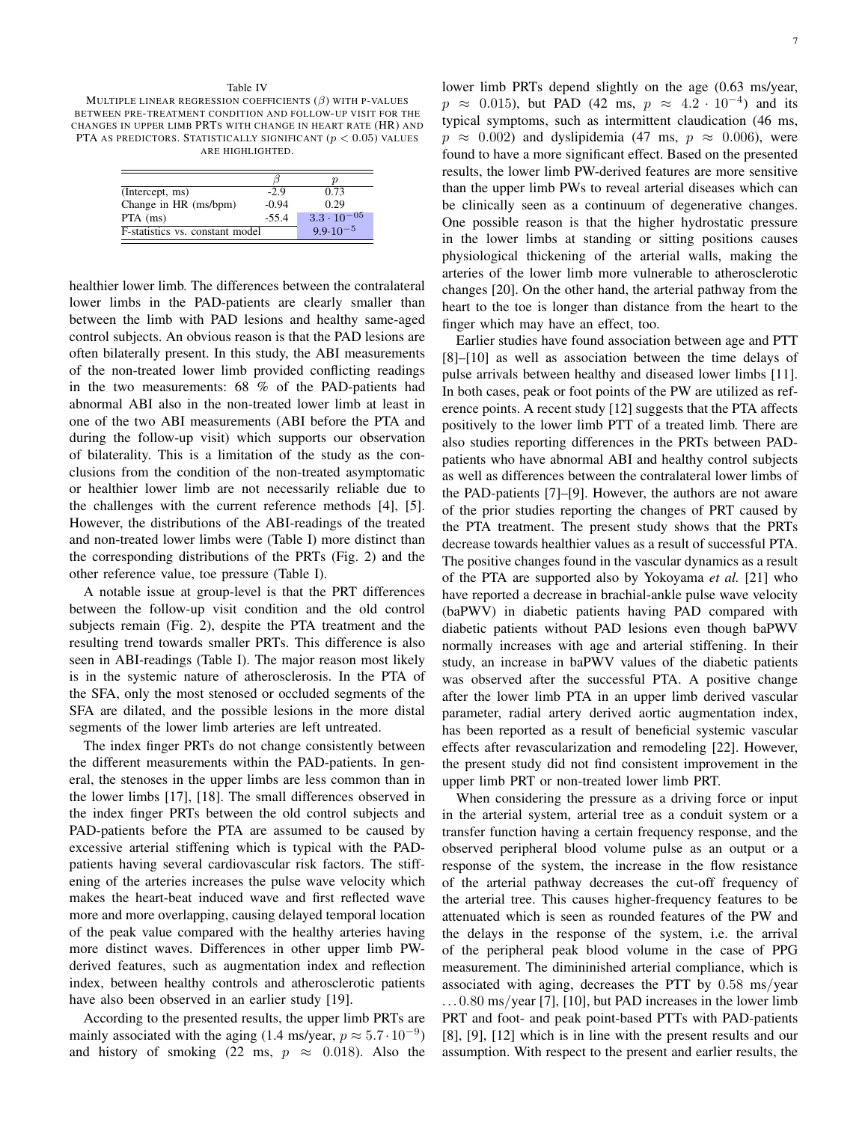#### Table IV

MULTIPLE LINEAR REGRESSION COEFFICIENTS  $(\beta)$  with P-VALUES BETWEEN PRE-TREATMENT CONDITION AND FOLLOW-UP VISIT FOR THE CHANGES IN UPPER LIMB PRTS WITH CHANGE IN HEART RATE (HR) AND PTA AS PREDICTORS. STATISTICALLY SIGNIFICANT  $(p < 0.05)$  values ARE HIGHLIGHTED.

|                                 |         | D                    |
|---------------------------------|---------|----------------------|
| (Intercept, ms)                 | $-2.9$  | 0.73                 |
| Change in HR (ms/bpm)           | $-0.94$ | 0.29                 |
| $PTA$ (ms)                      | $-55.4$ | $3.3 \cdot 10^{-05}$ |
| F-statistics vs. constant model |         | $9.9.10^{-5}$        |
|                                 |         |                      |

healthier lower limb. The differences between the contralateral lower limbs in the PAD-patients are clearly smaller than between the limb with PAD lesions and healthy same-aged control subjects. An obvious reason is that the PAD lesions are often bilaterally present. In this study, the ABI measurements of the non-treated lower limb provided conflicting readings in the two measurements: 68 % of the PAD-patients had abnormal ABI also in the non-treated lower limb at least in one of the two ABI measurements (ABI before the PTA and during the follow-up visit) which supports our observation of bilaterality. This is a limitation of the study as the conclusions from the condition of the non-treated asymptomatic or healthier lower limb are not necessarily reliable due to the challenges with the current reference methods [4], [5]. However, the distributions of the ABI-readings of the treated and non-treated lower limbs were (Table I) more distinct than the corresponding distributions of the PRTs (Fig. 2) and the other reference value, toe pressure (Table I).

A notable issue at group-level is that the PRT differences between the follow-up visit condition and the old control subjects remain (Fig. 2), despite the PTA treatment and the resulting trend towards smaller PRTs. This difference is also seen in ABI-readings (Table I). The major reason most likely is in the systemic nature of atherosclerosis. In the PTA of the SFA, only the most stenosed or occluded segments of the SFA are dilated, and the possible lesions in the more distal segments of the lower limb arteries are left untreated.

The index finger PRTs do not change consistently between the different measurements within the PAD-patients. In general, the stenoses in the upper limbs are less common than in the lower limbs [17], [18]. The small differences observed in the index finger PRTs between the old control subjects and PAD-patients before the PTA are assumed to be caused by excessive arterial stiffening which is typical with the PADpatients having several cardiovascular risk factors. The stiffening of the arteries increases the pulse wave velocity which makes the heart-beat induced wave and first reflected wave more and more overlapping, causing delayed temporal location of the peak value compared with the healthy arteries having more distinct waves. Differences in other upper limb PWderived features, such as augmentation index and reflection index, between healthy controls and atherosclerotic patients have also been observed in an earlier study [19].

According to the presented results, the upper limb PRTs are mainly associated with the aging (1.4 ms/year,  $p \approx 5.7 \cdot 10^{-9}$ ) and history of smoking (22 ms,  $p \approx 0.018$ ). Also the lower limb PRTs depend slightly on the age (0.63 ms/year,  $p \approx 0.015$ ), but PAD (42 ms,  $p \approx 4.2 \cdot 10^{-4}$ ) and its typical symptoms, such as intermittent claudication (46 ms,  $p \approx 0.002$ ) and dyslipidemia (47 ms,  $p \approx 0.006$ ), were found to have a more significant effect. Based on the presented results, the lower limb PW-derived features are more sensitive than the upper limb PWs to reveal arterial diseases which can be clinically seen as a continuum of degenerative changes. One possible reason is that the higher hydrostatic pressure in the lower limbs at standing or sitting positions causes physiological thickening of the arterial walls, making the arteries of the lower limb more vulnerable to atherosclerotic changes [20]. On the other hand, the arterial pathway from the heart to the toe is longer than distance from the heart to the finger which may have an effect, too.

Earlier studies have found association between age and PTT [8]–[10] as well as association between the time delays of pulse arrivals between healthy and diseased lower limbs [11]. In both cases, peak or foot points of the PW are utilized as reference points. A recent study [12] suggests that the PTA affects positively to the lower limb PTT of a treated limb. There are also studies reporting differences in the PRTs between PADpatients who have abnormal ABI and healthy control subjects as well as differences between the contralateral lower limbs of the PAD-patients [7]–[9]. However, the authors are not aware of the prior studies reporting the changes of PRT caused by the PTA treatment. The present study shows that the PRTs decrease towards healthier values as a result of successful PTA. The positive changes found in the vascular dynamics as a result of the PTA are supported also by Yokoyama *et al.* [21] who have reported a decrease in brachial-ankle pulse wave velocity (baPWV) in diabetic patients having PAD compared with diabetic patients without PAD lesions even though baPWV normally increases with age and arterial stiffening. In their study, an increase in baPWV values of the diabetic patients was observed after the successful PTA. A positive change after the lower limb PTA in an upper limb derived vascular parameter, radial artery derived aortic augmentation index, has been reported as a result of beneficial systemic vascular effects after revascularization and remodeling [22]. However, the present study did not find consistent improvement in the upper limb PRT or non-treated lower limb PRT.

When considering the pressure as a driving force or input in the arterial system, arterial tree as a conduit system or a transfer function having a certain frequency response, and the observed peripheral blood volume pulse as an output or a response of the system, the increase in the flow resistance of the arterial pathway decreases the cut-off frequency of the arterial tree. This causes higher-frequency features to be attenuated which is seen as rounded features of the PW and the delays in the response of the system, i.e. the arrival of the peripheral peak blood volume in the case of PPG measurement. The dimininished arterial compliance, which is associated with aging, decreases the PTT by 0.58 ms/year  $\dots$  0.80 ms/year [7], [10], but PAD increases in the lower limb PRT and foot- and peak point-based PTTs with PAD-patients [8], [9], [12] which is in line with the present results and our assumption. With respect to the present and earlier results, the